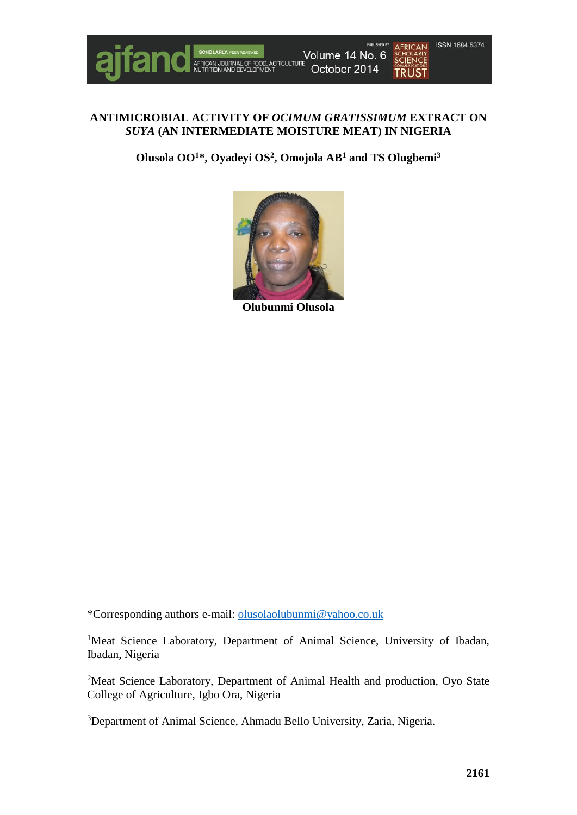

## **ANTIMICROBIAL ACTIVITY OF** *OCIMUM GRATISSIMUM* **EXTRACT ON**  *SUYA* **(AN INTERMEDIATE MOISTURE MEAT) IN NIGERIA**

**Olusola OO1\*, Oyadeyi OS2, Omojola AB1 and TS Olugbemi3**



**Olubunmi Olusola**

\*Corresponding authors e-mail: [olusolaolubunmi@yahoo.co.uk](mailto:olusolaolubunmi@yahoo.co.uk)

<sup>1</sup>Meat Science Laboratory, Department of Animal Science, University of Ibadan, Ibadan, Nigeria

<sup>2</sup>Meat Science Laboratory, Department of Animal Health and production, Oyo State College of Agriculture, Igbo Ora, Nigeria

<sup>3</sup>Department of Animal Science, Ahmadu Bello University, Zaria, Nigeria.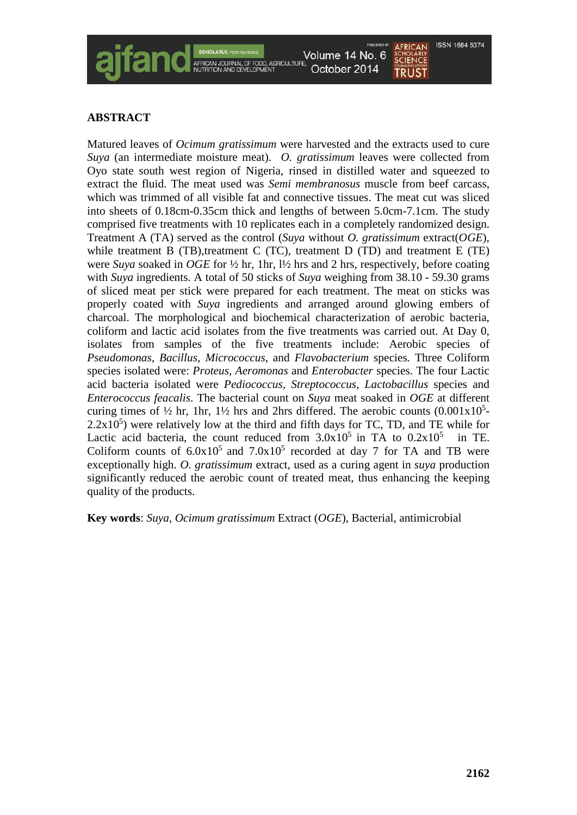## **ABSTRACT**

Matured leaves of *Ocimum gratissimum* were harvested and the extracts used to cure *Suya* (an intermediate moisture meat). *O. gratissimum* leaves were collected from Oyo state south west region of Nigeria, rinsed in distilled water and squeezed to extract the fluid. The meat used was *Semi membranosus* muscle from beef carcass, which was trimmed of all visible fat and connective tissues. The meat cut was sliced into sheets of 0.18cm-0.35cm thick and lengths of between 5.0cm-7.1cm. The study comprised five treatments with 10 replicates each in a completely randomized design. Treatment A (TA) served as the control (*Suya* without *O. gratissimum* extract(*OGE*), while treatment B (TB), treatment C (TC), treatment D (TD) and treatment E (TE) were *Suya* soaked in *OGE* for ½ hr, 1hr, l½ hrs and 2 hrs, respectively, before coating with *Suya* ingredients. A total of 50 sticks of *Suya* weighing from 38.10 - 59.30 grams of sliced meat per stick were prepared for each treatment. The meat on sticks was properly coated with *Suya* ingredients and arranged around glowing embers of charcoal. The morphological and biochemical characterization of aerobic bacteria, coliform and lactic acid isolates from the five treatments was carried out. At Day 0, isolates from samples of the five treatments include: Aerobic species of *Pseudomonas, Bacillus, Micrococcus,* and *Flavobacterium* species*.* Three Coliform species isolated were: *Proteus*, *Aeromonas* and *Enterobacter* species. The four Lactic acid bacteria isolated were *Pediococcus, Streptococcus*, *Lactobacillus* species and *Enterococcus feacalis*. The bacterial count on *Suya* meat soaked in *OGE* at different curing times of  $\frac{1}{2}$  hr, 1hr, 1<sup>1</sup>/<sub>2</sub> hrs and 2hrs differed. The aerobic counts  $(0.001 \times 10^5 2.2x10<sup>5</sup>$ ) were relatively low at the third and fifth days for TC, TD, and TE while for Lactic acid bacteria, the count reduced from  $3.0x10^5$  in TA to  $0.2x10^5$  in TE. Coliform counts of  $6.0x10^5$  and  $7.0x10^5$  recorded at day 7 for TA and TB were exceptionally high. *O. gratissimum* extract, used as a curing agent in *suya* production significantly reduced the aerobic count of treated meat, thus enhancing the keeping quality of the products.

Volume 14 No. 6 October 2014

**Key words**: *Suya*, *Ocimum gratissimum* Extract (*OGE*), Bacterial, antimicrobial

**ISSN 1684 5374** 

**TRUST**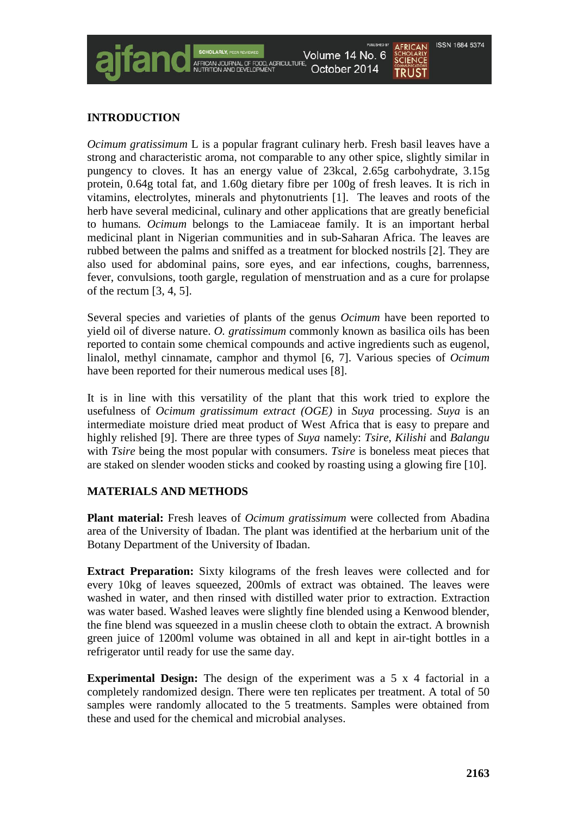#### **ISSN 1684 5374** Volume 14 No. 6 October 2014 **TRIIST**

## **INTRODUCTION**

*Ocimum gratissimum* L is a popular fragrant culinary herb. Fresh basil leaves have a strong and characteristic aroma, not comparable to any other spice, slightly similar in pungency to cloves. It has an energy value of 23kcal, 2.65g carbohydrate, 3.15g protein, 0.64g total fat, and 1.60g dietary fibre per 100g of fresh leaves. It is rich in vitamins, electrolytes, minerals and phytonutrients [1]. The leaves and roots of the herb have several medicinal, culinary and other applications that are greatly beneficial to humans*. Ocimum* belongs to the Lamiaceae family. It is an important herbal medicinal plant in Nigerian communities and in sub-Saharan Africa. The leaves are rubbed between the palms and sniffed as a treatment for blocked nostrils [2]. They are also used for abdominal pains, sore eyes, and ear infections, coughs, barrenness, fever, convulsions, tooth gargle, regulation of menstruation and as a cure for prolapse of the rectum  $[3, 4, 5]$ .

Several species and varieties of plants of the genus *Ocimum* have been reported to yield oil of diverse nature. *O. gratissimum* commonly known as basilica oils has been reported to contain some chemical compounds and active ingredients such as eugenol, linalol, methyl cinnamate, camphor and thymol [6, 7]. Various species of *Ocimum*  have been reported for their numerous medical uses [8].

It is in line with this versatility of the plant that this work tried to explore the usefulness of *Ocimum gratissimum extract (OGE)* in *Suya* processing. *Suya* is an intermediate moisture dried meat product of West Africa that is easy to prepare and highly relished [9]. There are three types of *Suya* namely: *Tsire*, *Kilishi* and *Balangu* with *Tsire* being the most popular with consumers. *Tsire* is boneless meat pieces that are staked on slender wooden sticks and cooked by roasting using a glowing fire [10].

## **MATERIALS AND METHODS**

**Plant material:** Fresh leaves of *Ocimum gratissimum* were collected from Abadina area of the University of Ibadan. The plant was identified at the herbarium unit of the Botany Department of the University of Ibadan.

**Extract Preparation:** Sixty kilograms of the fresh leaves were collected and for every 10kg of leaves squeezed, 200mls of extract was obtained. The leaves were washed in water, and then rinsed with distilled water prior to extraction. Extraction was water based. Washed leaves were slightly fine blended using a Kenwood blender, the fine blend was squeezed in a muslin cheese cloth to obtain the extract. A brownish green juice of 1200ml volume was obtained in all and kept in air-tight bottles in a refrigerator until ready for use the same day.

**Experimental Design:** The design of the experiment was a 5 x 4 factorial in a completely randomized design. There were ten replicates per treatment. A total of 50 samples were randomly allocated to the 5 treatments. Samples were obtained from these and used for the chemical and microbial analyses.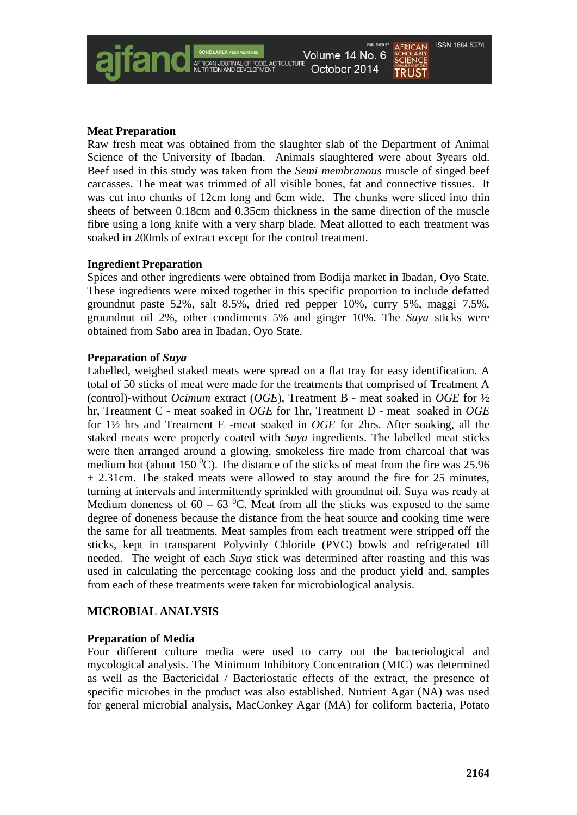Volume 14 No. 6 October 2014

**ISSN 1684 5374** 

**TRUST** 

**Meat Preparation**

Raw fresh meat was obtained from the slaughter slab of the Department of Animal Science of the University of Ibadan. Animals slaughtered were about 3years old. Beef used in this study was taken from the *Semi membranous* muscle of singed beef carcasses. The meat was trimmed of all visible bones, fat and connective tissues. It was cut into chunks of 12cm long and 6cm wide. The chunks were sliced into thin sheets of between 0.18cm and 0.35cm thickness in the same direction of the muscle fibre using a long knife with a very sharp blade. Meat allotted to each treatment was soaked in 200mls of extract except for the control treatment.

#### **Ingredient Preparation**

Spices and other ingredients were obtained from Bodija market in Ibadan, Oyo State. These ingredients were mixed together in this specific proportion to include defatted groundnut paste 52%, salt 8.5%, dried red pepper 10%, curry 5%, maggi 7.5%, groundnut oil 2%, other condiments 5% and ginger 10%. The *Suya* sticks were obtained from Sabo area in Ibadan, Oyo State.

#### **Preparation of** *Suya*

Labelled, weighed staked meats were spread on a flat tray for easy identification. A total of 50 sticks of meat were made for the treatments that comprised of Treatment A (control)-without *Ocimum* extract (*OGE*), Treatment B - meat soaked in *OGE* for ½ hr, Treatment C - meat soaked in *OGE* for 1hr, Treatment D - meat soaked in *OGE* for 1½ hrs and Treatment E -meat soaked in *OGE* for 2hrs. After soaking, all the staked meats were properly coated with *Suya* ingredients. The labelled meat sticks were then arranged around a glowing, smokeless fire made from charcoal that was medium hot (about 150  $^0$ C). The distance of the sticks of meat from the fire was 25.96  $\pm$  2.31cm. The staked meats were allowed to stay around the fire for 25 minutes, turning at intervals and intermittently sprinkled with groundnut oil. Suya was ready at Medium doneness of  $60 - 63$  °C. Meat from all the sticks was exposed to the same degree of doneness because the distance from the heat source and cooking time were the same for all treatments. Meat samples from each treatment were stripped off the sticks, kept in transparent Polyvinly Chloride (PVC) bowls and refrigerated till needed. The weight of each *Suya* stick was determined after roasting and this was used in calculating the percentage cooking loss and the product yield and, samples from each of these treatments were taken for microbiological analysis.

### **MICROBIAL ANALYSIS**

#### **Preparation of Media**

Four different culture media were used to carry out the bacteriological and mycological analysis. The Minimum Inhibitory Concentration (MIC) was determined as well as the Bactericidal / Bacteriostatic effects of the extract, the presence of specific microbes in the product was also established. Nutrient Agar (NA) was used for general microbial analysis, MacConkey Agar (MA) for coliform bacteria, Potato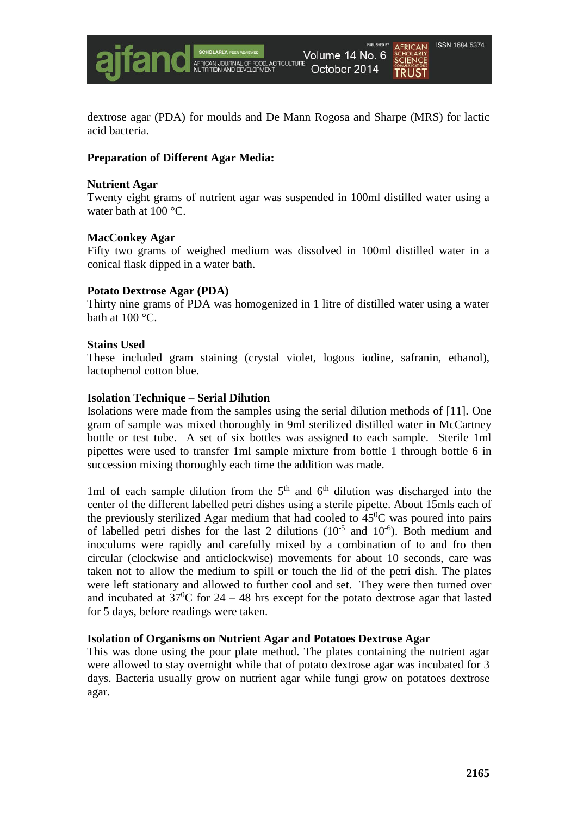

dextrose agar (PDA) for moulds and De Mann Rogosa and Sharpe (MRS) for lactic acid bacteria.

## **Preparation of Different Agar Media:**

#### **Nutrient Agar**

Twenty eight grams of nutrient agar was suspended in 100ml distilled water using a water bath at 100 °C.

### **MacConkey Agar**

Fifty two grams of weighed medium was dissolved in 100ml distilled water in a conical flask dipped in a water bath.

### **Potato Dextrose Agar (PDA)**

Thirty nine grams of PDA was homogenized in 1 litre of distilled water using a water bath at  $100^{\circ}$ C.

#### **Stains Used**

These included gram staining (crystal violet, logous iodine, safranin, ethanol), lactophenol cotton blue.

#### **Isolation Technique – Serial Dilution**

Isolations were made from the samples using the serial dilution methods of [11]. One gram of sample was mixed thoroughly in 9ml sterilized distilled water in McCartney bottle or test tube. A set of six bottles was assigned to each sample. Sterile 1ml pipettes were used to transfer 1ml sample mixture from bottle 1 through bottle 6 in succession mixing thoroughly each time the addition was made.

1ml of each sample dilution from the  $5<sup>th</sup>$  and  $6<sup>th</sup>$  dilution was discharged into the center of the different labelled petri dishes using a sterile pipette. About 15mls each of the previously sterilized Agar medium that had cooled to  $45^{\circ}$ C was poured into pairs of labelled petri dishes for the last 2 dilutions  $(10^{-5}$  and  $10^{-6})$ . Both medium and inoculums were rapidly and carefully mixed by a combination of to and fro then circular (clockwise and anticlockwise) movements for about 10 seconds, care was taken not to allow the medium to spill or touch the lid of the petri dish. The plates were left stationary and allowed to further cool and set. They were then turned over and incubated at  $37^0C$  for 24 – 48 hrs except for the potato dextrose agar that lasted for 5 days, before readings were taken.

#### **Isolation of Organisms on Nutrient Agar and Potatoes Dextrose Agar**

This was done using the pour plate method. The plates containing the nutrient agar were allowed to stay overnight while that of potato dextrose agar was incubated for 3 days. Bacteria usually grow on nutrient agar while fungi grow on potatoes dextrose agar.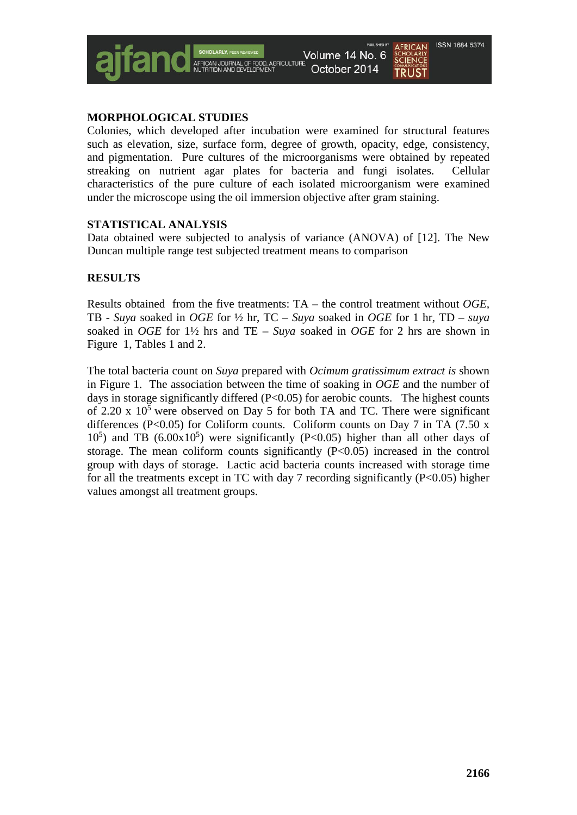

## **MORPHOLOGICAL STUDIES**

Colonies, which developed after incubation were examined for structural features such as elevation, size, surface form, degree of growth, opacity, edge, consistency, and pigmentation. Pure cultures of the microorganisms were obtained by repeated streaking on nutrient agar plates for bacteria and fungi isolates. Cellular characteristics of the pure culture of each isolated microorganism were examined under the microscope using the oil immersion objective after gram staining.

### **STATISTICAL ANALYSIS**

Data obtained were subjected to analysis of variance (ANOVA) of [12]. The New Duncan multiple range test subjected treatment means to comparison

### **RESULTS**

Results obtained from the five treatments: TA – the control treatment without *OGE,*  TB - *Suya* soaked in *OGE* for ½ hr, TC – *Suya* soaked in *OGE* for 1 hr, TD – *suya* soaked in *OGE* for 1½ hrs and TE – *Suya* soaked in *OGE* for 2 hrs are shown in Figure 1, Tables 1 and 2.

The total bacteria count on *Suya* prepared with *Ocimum gratissimum extract is* shown in Figure 1. The association between the time of soaking in *OGE* and the number of days in storage significantly differed  $(P<0.05)$  for aerobic counts. The highest counts of 2.20 x  $10<sup>5</sup>$  were observed on Day 5 for both TA and TC. There were significant differences (P<0.05) for Coliform counts. Coliform counts on Day 7 in TA (7.50  $x$ )  $10<sup>5</sup>$ ) and TB (6.00x10<sup>5</sup>) were significantly (P<0.05) higher than all other days of storage. The mean coliform counts significantly  $(P<0.05)$  increased in the control group with days of storage. Lactic acid bacteria counts increased with storage time for all the treatments except in TC with day 7 recording significantly  $(P<0.05)$  higher values amongst all treatment groups.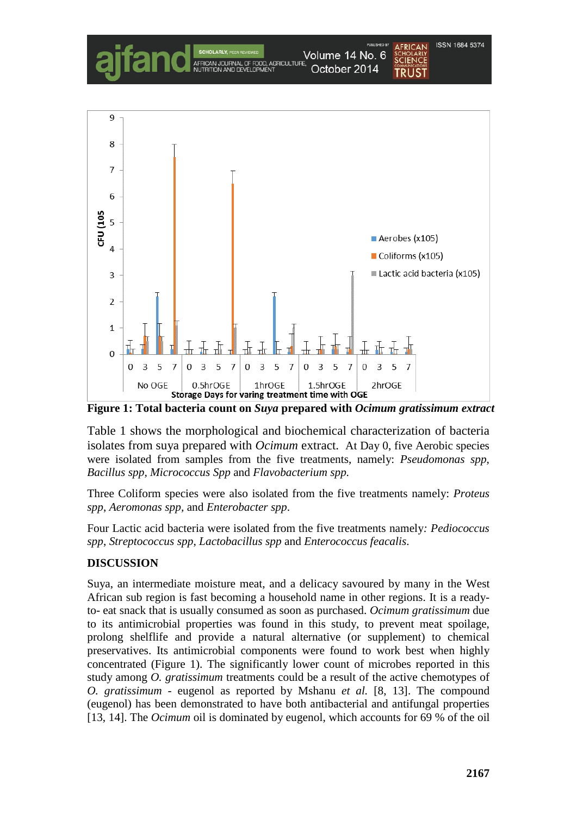

Volume 14 No. 6

**Figure 1: Total bacteria count on** *Suya* **prepared with** *Ocimum gratissimum extract* 

Table 1 shows the morphological and biochemical characterization of bacteria isolates from suya prepared with *Ocimum* extract. At Day 0, five Aerobic species were isolated from samples from the five treatments, namely: *Pseudomonas spp*, *Bacillus spp, Micrococcus Spp* and *Flavobacterium spp.*

Three Coliform species were also isolated from the five treatments namely: *Proteus spp*, *Aeromonas spp,* and *Enterobacter spp*.

Four Lactic acid bacteria were isolated from the five treatments namely*: Pediococcus spp*, *Streptococcus spp*, *Lactobacillus spp* and *Enterococcus feacalis*.

## **DISCUSSION**

Suya, an intermediate moisture meat, and a delicacy savoured by many in the West African sub region is fast becoming a household name in other regions. It is a readyto- eat snack that is usually consumed as soon as purchased. *Ocimum gratissimum* due to its antimicrobial properties was found in this study, to prevent meat spoilage, prolong shelflife and provide a natural alternative (or supplement) to chemical preservatives. Its antimicrobial components were found to work best when highly concentrated (Figure 1). The significantly lower count of microbes reported in this study among *O. gratissimum* treatments could be a result of the active chemotypes of *O. gratissimum -* eugenol as reported by Mshanu *et al.* [8, 13]. The compound (eugenol) has been demonstrated to have both antibacterial and antifungal properties [13, 14]. The *Ocimum* oil is dominated by eugenol, which accounts for 69 % of the oil

**ISSN 1684 5374**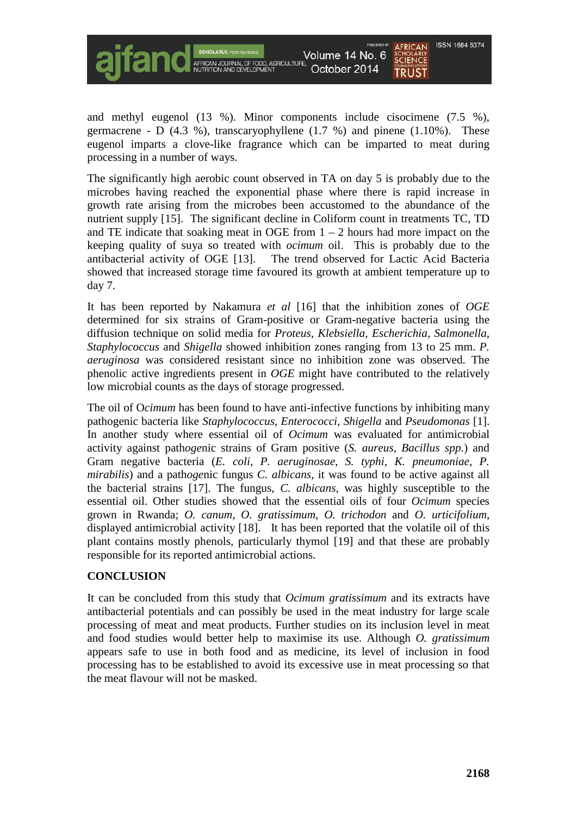and methyl eugenol (13 %). Minor components include cisocimene (7.5 %), germacrene - D  $(4.3 \%)$ , transcaryophyllene  $(1.7 \%)$  and pinene  $(1.10\%)$ . These eugenol imparts a clove-like fragrance which can be imparted to meat during processing in a number of ways.

Volume 14 No. 6 October 2014

The significantly high aerobic count observed in TA on day 5 is probably due to the microbes having reached the exponential phase where there is rapid increase in growth rate arising from the microbes been accustomed to the abundance of the nutrient supply [15]. The significant decline in Coliform count in treatments TC, TD and TE indicate that soaking meat in OGE from  $1 - 2$  hours had more impact on the keeping quality of suya so treated with *ocimum* oil. This is probably due to the antibacterial activity of OGE [13]. The trend observed for Lactic Acid Bacteria showed that increased storage time favoured its growth at ambient temperature up to day 7.

It has been reported by Nakamura *et al* [16] that the inhibition zones of *OGE* determined for six strains of Gram-positive or Gram-negative bacteria using the diffusion technique on solid media for *Proteus, Klebsiella, Escherichia, Salmonella, Staphylococcus* and *Shigella* showed inhibition zones ranging from 13 to 25 mm. *P. aeruginosa* was considered resistant since no inhibition zone was observed. The phenolic active ingredients present in *OGE* might have contributed to the relatively low microbial counts as the days of storage progressed.

The oil of O*cimum* has been found to have anti-infective functions by inhibiting many pathogenic bacteria like *Staphylococcus, Enterococci, Shigella* and *Pseudomonas* [1]. In another study where essential oil of *Ocimum* was evaluated for antimicrobial activity against path*oge*nic strains of Gram positive (*S. aureus, Bacillus spp*.) and Gram negative bacteria (*E. coli, P. aeruginosae, S. typhi, K. pneumoniae, P. mirabilis*) and a path*oge*nic fungus *C. albicans*, it was found to be active against all the bacterial strains [17]. The fungus, *C. albicans,* was highly susceptible to the essential oil. Other studies showed that the essential oils of four *Ocimum* species grown in Rwanda; *O. canum*, *O. gratissimum*, *O. trichodon* and *O. urticifolium*, displayed antimicrobial activity [18]. It has been reported that the volatile oil of this plant contains mostly phenols, particularly thymol [19] and that these are probably responsible for its reported antimicrobial actions.

## **CONCLUSION**

It can be concluded from this study that *Ocimum gratissimum* and its extracts have antibacterial potentials and can possibly be used in the meat industry for large scale processing of meat and meat products. Further studies on its inclusion level in meat and food studies would better help to maximise its use. Although *O. gratissimum* appears safe to use in both food and as medicine, its level of inclusion in food processing has to be established to avoid its excessive use in meat processing so that the meat flavour will not be masked.

**ISSN 1684 5374** 

**TRIIST**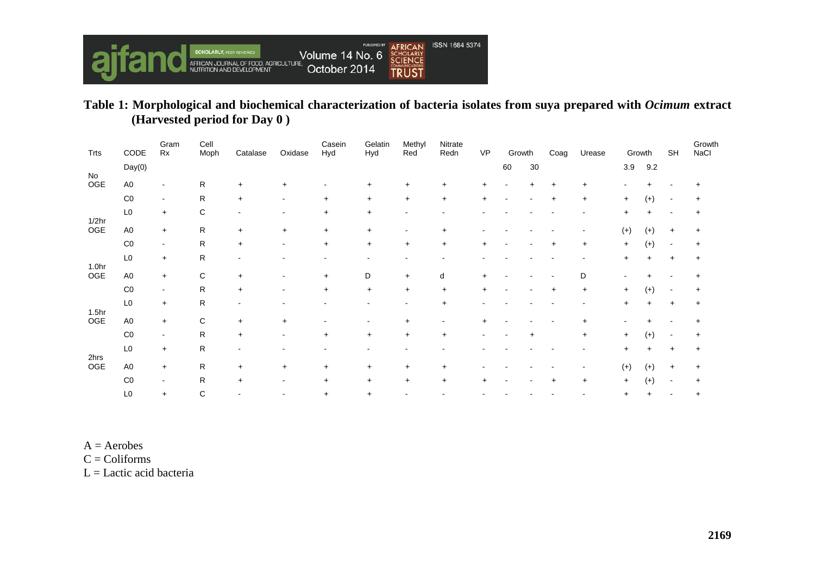

## Table 1: Morphological and biochemical characterization of bacteria isolates from suya prepared with Ocimum extract (Harvested period for Day 0)

| Trts                     | CODE           | Gram<br>Rx     | Cell<br>Moph | Catalase  | Oxidase                  | Casein<br>Hyd | Gelatin<br>Hyd | Methyl<br>Red            | Nitrate<br>Redn | <b>VP</b> |    | Growth | Coag      | Urease    |           | Growth    | <b>SH</b> | Growth<br>NaCl |
|--------------------------|----------------|----------------|--------------|-----------|--------------------------|---------------|----------------|--------------------------|-----------------|-----------|----|--------|-----------|-----------|-----------|-----------|-----------|----------------|
|                          | Day(0)         |                |              |           |                          |               |                |                          |                 |           | 60 | $30\,$ |           |           | 3.9       | 9.2       |           |                |
| No<br>OGE                | A <sub>0</sub> | $\blacksquare$ | $\mathsf{R}$ | $+$       | $+$                      |               | $+$            |                          | $\ddot{}$       |           |    | $+$    | $\ddot{}$ | $\ddot{}$ |           |           |           |                |
|                          | CO             | $\sim$         | ${\sf R}$    | $\ddot{}$ |                          | $\ddot{}$     | $+$            | $\ddot{}$                | $+$             |           |    |        | $+$       | $\ddot{}$ | $\ddot{}$ | $(+)$     |           |                |
|                          | L <sub>0</sub> | $+$            | C            |           |                          | $\ddot{}$     | $+$            |                          |                 |           |    |        |           |           | $+$       |           |           |                |
| $1/2$ hr<br>OGE          | A <sub>0</sub> | $+$            | ${\sf R}$    | $+$       | $+$                      | $\ddot{}$     | $+$            | $\overline{\phantom{a}}$ | $\ddot{}$       |           |    |        |           |           | $(+)$     | $(+)$     | $\ddot{}$ | $\ddot{}$      |
|                          | CO             | $\sim$         | $\mathsf R$  | $\ddot{}$ | $\overline{\phantom{a}}$ | $+$           | $+$            | $+$                      | $+$             | $+$       |    |        | $\ddot{}$ | $\ddot{}$ | $+$       | $(+)$     |           | $+$            |
|                          | L <sub>0</sub> | $+$            | $\mathsf R$  |           |                          |               |                |                          |                 |           |    |        |           |           | $+$       |           | $\ddot{}$ | $+$            |
| 1.0 <sub>hr</sub><br>OGE | A <sub>0</sub> | $+$            | C            | $\ddot{}$ |                          | $\ddot{}$     | D              | $+$                      | d               |           |    |        |           | D         |           |           |           |                |
|                          | CO             | $\blacksquare$ | $\mathsf{R}$ | $\ddot{}$ |                          | $+$           | $+$            | $+$                      | $+$             |           |    |        | $\ddot{}$ | $\ddot{}$ | $\ddot{}$ | $(+)$     |           | $\ddot{}$      |
|                          | L <sub>0</sub> | $+$            | $\mathsf R$  |           |                          |               |                |                          | $\ddot{}$       |           |    |        |           |           | $+$       |           | $\div$    | $\ddot{}$      |
| 1.5 <sub>hr</sub><br>OGE | A <sub>0</sub> | $+$            | C            | $+$       | $+$                      |               |                | $\ddot{}$                |                 |           |    |        |           | $\ddot{}$ |           |           |           |                |
|                          | CO             | $\sim$         | $\mathsf R$  | $\ddot{}$ | $\overline{\phantom{a}}$ | $\ddot{}$     | $+$            | $+$                      | $+$             |           |    | $+$    |           | $\ddot{}$ | $\ddot{}$ | $(+)$     |           | $\ddot{}$      |
|                          | L <sub>0</sub> | $+$            | $\mathsf R$  |           |                          |               |                |                          |                 |           |    |        |           |           | $+$       |           |           | $\ddot{}$      |
| 2hrs<br>OGE              | A <sub>0</sub> | $+$            | $\mathsf R$  | $+$       | $+$                      | $\ddot{}$     | $+$            | $\ddot{}$                | $\ddot{}$       |           |    |        |           |           | $(+)$     | $(+)$     | $+$       | $\ddot{}$      |
|                          | CO             | $\blacksquare$ | ${\sf R}$    | $\ddot{}$ |                          | $\ddot{}$     | $+$            | $+$                      | $+$             |           |    |        |           | $\ddot{}$ | $+$       | $(+)$     |           | +              |
|                          | L <sub>0</sub> | $+$            | C            |           |                          | $\ddot{}$     | $+$            |                          |                 |           |    |        |           |           | $\ddot{}$ | $\ddot{}$ |           | $\ddot{}$      |

 $A =$  Aerobes

 $C = \text{Coliforms}$ 

 $L =$ Lactic acid bacteria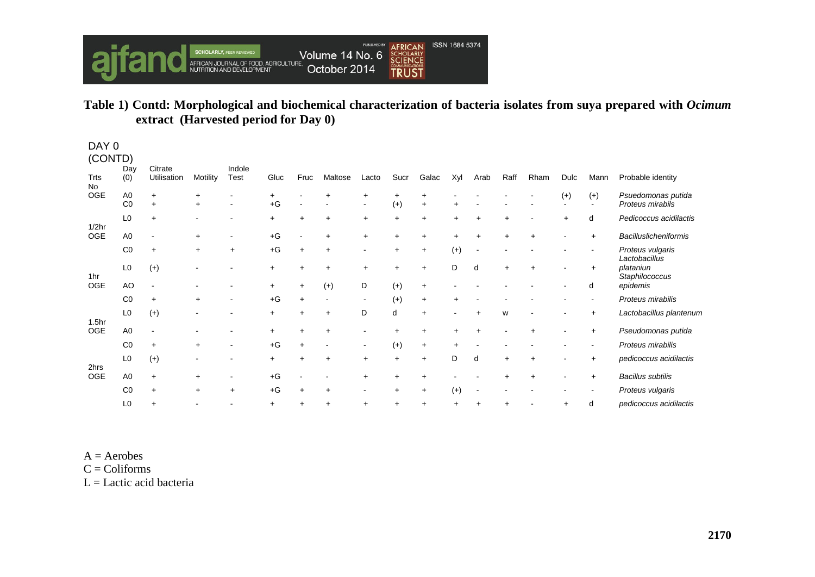

## Table 1) Contd: Morphological and biochemical characterization of bacteria isolates from suya prepared with Ocimum extract (Harvested period for Day 0)

| DAY 0<br>(CONTD)  |                |                        |                        |                |                   |           |           |           |                    |           |       |             |      |           |                         |                 |                                              |
|-------------------|----------------|------------------------|------------------------|----------------|-------------------|-----------|-----------|-----------|--------------------|-----------|-------|-------------|------|-----------|-------------------------|-----------------|----------------------------------------------|
| Trts<br>No        | Day<br>(0)     | Citrate<br>Utilisation | Motility               | Indole<br>Test | Gluc              | Fruc      | Maltose   | Lacto     | Sucr               | Galac     | Xyl   | Arab        | Raff | Rham      | Dulc                    | Mann            | Probable identity                            |
| <b>OGE</b>        | A0<br>CO       | $+$<br>$+$             | $\ddot{}$<br>$\ddot{}$ |                | $\ddot{}$<br>$+G$ |           |           | $+$       | $\ddot{}$<br>$(+)$ | $+$       |       |             |      |           | $(+)$<br>$\blacksquare$ | $(+)$<br>$\sim$ | Psuedomonas putida<br>Proteus mirabils       |
|                   | L <sub>0</sub> | $\ddot{}$              |                        |                | $+$               | $\ddot{}$ | $\ddot{}$ | $+$       | $+$                | ÷         |       | $\ddot{}$   |      |           |                         | d               | Pedicoccus acidilactis                       |
| $1/2$ hr<br>OGE   | A <sub>0</sub> | $\blacksquare$         | $\ddot{}$              |                | $+G$              |           |           | $\ddot{}$ | $+$                | +         |       | $\ddotmark$ |      | $\ddot{}$ |                         | $+$             | <b>Bacilluslicheniformis</b>                 |
|                   | CO             | $\ddot{}$              | $\ddot{}$              | $\ddot{}$      | $+G$              | $+$       | $\ddot{}$ |           | $+$                | ÷         | $(+)$ |             |      |           |                         |                 | Proteus vulgaris                             |
| 1hr               | L <sub>0</sub> | $(+)$                  |                        |                | $\ddot{}$         | $+$       | $\ddot{}$ |           | $+$                |           | D     | d           |      |           |                         | $\ddot{}$       | Lactobacillus<br>plataniun<br>Staphilococcus |
| <b>OGE</b>        | AO             | $\blacksquare$         |                        |                | $+$               | $+$       | $(+)$     | D         | $(+)$              | $+$       |       |             |      |           |                         | d               | epidemis                                     |
|                   | CO             | $\ddot{}$              | $\ddot{}$              |                | $+G$              | $+$       |           |           | $(+)$              | $\ddot{}$ |       |             |      |           |                         |                 | Proteus mirabilis                            |
| 1.5 <sub>hr</sub> | L <sub>0</sub> | $(+)$                  |                        |                | $\ddot{}$         | $+$       | $\ddot{}$ | D         | d                  | +         |       | $\ddot{}$   | W    |           |                         | $+$             | Lactobacillus plantenum                      |
| <b>OGE</b>        | A <sub>0</sub> | $\blacksquare$         |                        |                | $\ddot{}$         | $+$       | $\ddot{}$ |           | $+$                |           |       | ÷           |      |           |                         | $+$             | Pseudomonas putida                           |
|                   | CO             | $\ddot{}$              | $+$                    |                | $+G$              | $\ddot{}$ |           |           | $(+)$              | $\ddot{}$ |       |             |      |           |                         |                 | Proteus mirabilis                            |
| 2hrs              | L <sub>0</sub> | $(+)$                  |                        |                | $\ddot{}$         | $\ddot{}$ |           | $\ddot{}$ | $+$                | +         | D     | d           |      | ÷         |                         | $\ddot{}$       | pedicoccus acidilactis                       |
| OGE               | A <sub>0</sub> | $+$                    | $\ddot{}$              |                | $+G$              |           |           |           |                    |           |       |             |      |           |                         | $+$             | <b>Bacillus subtilis</b>                     |
|                   | CO             | $\ddot{}$              |                        |                | $+G$              |           |           |           |                    |           | $(+)$ |             |      |           |                         |                 | Proteus vulgaris                             |
|                   | L <sub>0</sub> |                        |                        |                | $\ddot{}$         |           |           | $\ddot{}$ | $\ddot{}$          |           |       | +           |      |           | ÷                       | d               | pedicoccus acidilactis                       |

 $A =$  Aerobes

 $C = \text{Coliforms}$ 

 $L =$ Lactic acid bacteria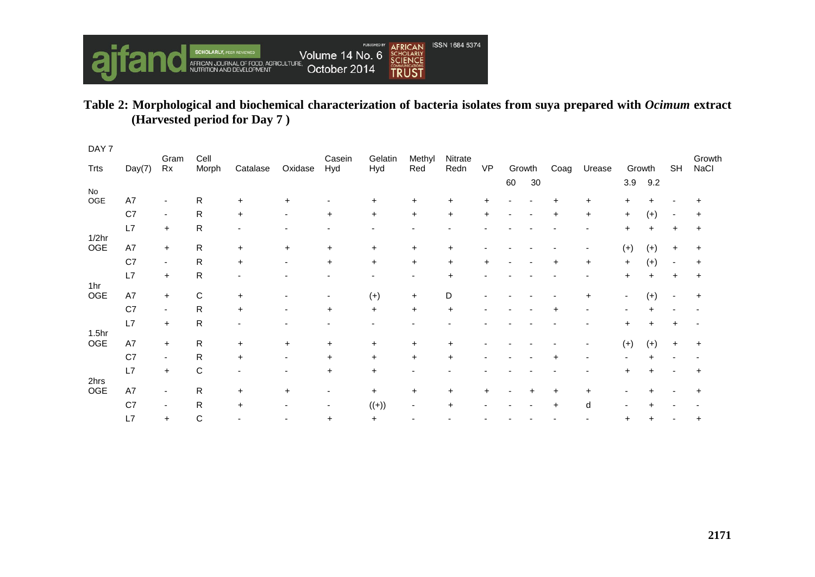

## **Table 2: Morphological and biochemical characterization of bacteria isolates from suya prepared with** *Ocimum* **extract (Harvested period for Day 7 )**

| DAY 7                    |        | Gram                     | Cell         |           |                          | Casein                       | Gelatin   | Methyl                   | Nitrate   |           |    |        |           |           |           |           |           | Growth    |
|--------------------------|--------|--------------------------|--------------|-----------|--------------------------|------------------------------|-----------|--------------------------|-----------|-----------|----|--------|-----------|-----------|-----------|-----------|-----------|-----------|
| <b>Trts</b>              | Day(7) | Rx                       | Morph        | Catalase  | Oxidase                  | Hyd                          | Hyd       | Red                      | Redn      | <b>VP</b> |    | Growth | Coag      | Urease    |           | Growth    | <b>SH</b> | NaCl      |
|                          |        |                          |              |           |                          |                              |           |                          |           |           | 60 | 30     |           |           | 3.9       | 9.2       |           |           |
| No<br>OGE                | A7     | $\overline{\phantom{a}}$ | $\mathsf{R}$ | $\ddot{}$ | $\ddot{}$                |                              | $\ddot{}$ | $\ddot{}$                | $\ddot{}$ | $\ddot{}$ |    |        |           | $\ddot{}$ | $\ddot{}$ | $\ddot{}$ |           |           |
|                          | C7     | $\blacksquare$           | $\mathsf{R}$ | $\ddot{}$ | $\overline{\phantom{a}}$ | $\ddot{}$                    | $\ddot{}$ | $\ddot{}$                | $\ddot{}$ | $\ddot{}$ |    |        | $\ddot{}$ | $\ddot{}$ | $\ddot{}$ | $(+)$     |           | $\ddot{}$ |
| $1/2$ hr                 | L7     | $+$                      | $\mathsf{R}$ |           |                          |                              |           |                          |           |           |    |        |           |           | $+$       | $\pm$     | ٠         | $\ddot{}$ |
| OGE                      | A7     | $+$                      | ${\sf R}$    | $\ddot{}$ | $\ddot{}$                | $\ddot{}$                    | $\ddot{}$ | $\ddot{}$                | $\ddot{}$ |           |    |        |           |           | $(+)$     | $(+)$     | $\ddot{}$ | $\ddot{}$ |
|                          | C7     | $\sim$                   | ${\sf R}$    | $\ddot{}$ | $\blacksquare$           | $\ddot{}$                    | $+$       | $\bf +$                  | $\ddot{}$ | $+$       |    |        | $\ddot{}$ | $\ddot{}$ | $\ddot{}$ | $(+)$     |           | $\ddot{}$ |
| 1hr                      | L7     | $\ddot{}$                | ${\sf R}$    |           |                          |                              |           |                          | $\ddot{}$ |           |    |        |           |           | $+$       | $\ddot{}$ | $\pm$     | $\ddot{}$ |
| OGE                      | A7     | $+$                      | $\mathbf C$  | $\ddot{}$ |                          |                              | $(+)$     | $\ddot{}$                | D         |           |    |        |           | +         | ٠         | $(+)$     |           | $\ddot{}$ |
|                          | C7     | $\blacksquare$           | ${\sf R}$    | $\ddot{}$ |                          | $\ddot{}$                    | $\ddot{}$ | $\ddot{}$                | $\ddot{}$ |           |    |        |           |           |           | $\ddot{}$ |           |           |
|                          | L7     | $+$                      | ${\sf R}$    |           |                          |                              |           |                          |           |           |    |        |           |           |           |           |           |           |
| 1.5 <sub>hr</sub><br>OGE | A7     | $\ddot{}$                | $\mathsf{R}$ | $\ddot{}$ | $\ddot{}$                | +                            | $+$       | $\ddot{}$                | $\ddot{}$ |           |    |        |           |           | $(+)$     | $(+)$     | +         | $\ddot{}$ |
|                          | C7     | $\sim$                   | $\mathsf{R}$ | $\ddot{}$ | $\blacksquare$           | $+$                          | $+$       | $\ddot{}$                | $\ddot{}$ |           |    |        |           |           |           | +         |           |           |
| 2hrs                     | L7     | $+$                      | $\mathsf C$  |           |                          | $\ddot{}$                    | $\ddot{}$ |                          |           |           |    |        |           |           |           |           |           | $\ddot{}$ |
| OGE                      | A7     | $\overline{\phantom{a}}$ | $\mathsf{R}$ | $\ddot{}$ | $\ddot{}$                |                              | $\ddot{}$ | $\ddot{}$                | $\ddot{}$ | +         |    |        | +         |           |           |           |           |           |
|                          | C7     | $\blacksquare$           | $\mathsf{R}$ | $\ddot{}$ |                          | $\qquad \qquad \blacksquare$ | $((+)$    | $\overline{\phantom{a}}$ | $\ddot{}$ |           |    |        | $\ddot{}$ | d         |           |           |           |           |
|                          | L7     | $\ddot{}$                | $\mathsf C$  |           |                          | $\ddot{}$                    | $\ddot{}$ |                          |           |           |    |        |           |           |           | +         |           | +         |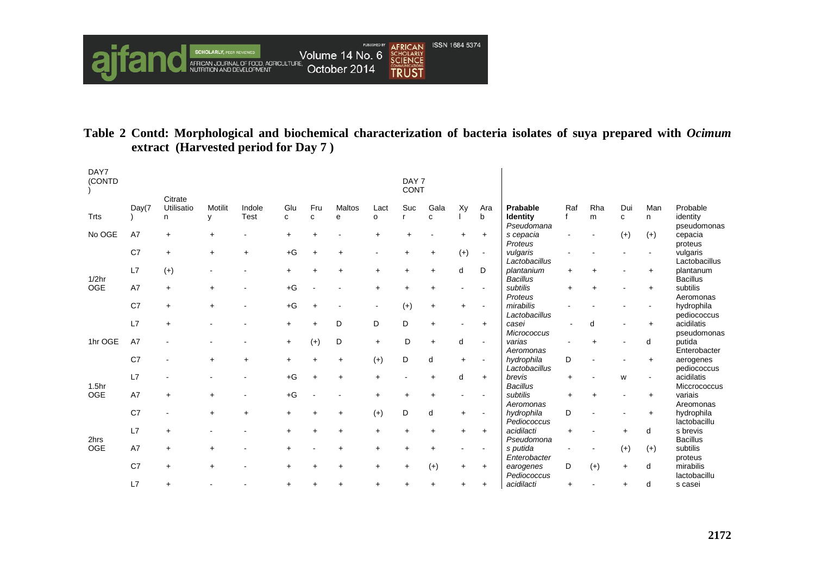

# Table 2 Contd: Morphological and biochemical characterization of bacteria isolates of suya prepared with Ocimum extract (Harvested period for Day 7)

| DAY7<br>(CONTD    |                | Citrate         |                         |                       |          |           |             |           | DAY <sub>7</sub><br><b>CONT</b> |             |           |                |                                           |           |                      |          |           |                                     |
|-------------------|----------------|-----------------|-------------------------|-----------------------|----------|-----------|-------------|-----------|---------------------------------|-------------|-----------|----------------|-------------------------------------------|-----------|----------------------|----------|-----------|-------------------------------------|
| Trts              | Day(7)         | Utilisatio<br>n | Motilit<br>$\mathsf{V}$ | Indole<br><b>Test</b> | Glu<br>C | Fru<br>C  | Maltos<br>e | Lact<br>o | Suc                             | Gala<br>C   | Xy        | Ara<br>b       | Prabable<br><b>Identity</b><br>Pseudomana | Raf<br>f  | Rha<br>m             | Dui<br>c | Man<br>n  | Probable<br>identity<br>pseudomonas |
| No OGE            | A7             | $+$             | $+$                     |                       |          |           |             | $+$       |                                 |             |           | $+$            | s cepacia                                 |           |                      | $(+)$    | $(+)$     | cepacia                             |
|                   |                |                 |                         |                       |          |           |             |           |                                 |             |           |                | Proteus                                   |           |                      |          |           | proteus                             |
|                   | C7             | $+$             | $+$                     | $+$                   | $+G$     | $\div$    |             |           | +                               | $\ddot{}$   | $(+)$     | $\sim$         | vulgaris<br>Lactobacillus                 |           |                      |          |           | vulgaris<br>Lactobacillus           |
|                   | L7             | $(+)$           |                         |                       |          |           |             | $\ddot{}$ | $\ddot{}$                       | ÷           | d         | D              | plantanium                                | $+$       |                      |          | $+$       | plantanum                           |
| $1/2$ hr          |                |                 |                         |                       |          |           |             |           |                                 |             |           |                | <b>Bacillus</b>                           |           |                      |          |           | <b>Bacillus</b>                     |
| <b>OGE</b>        | A7             | $+$             |                         |                       | $+G$     |           |             | $+$       |                                 |             |           |                | subtilis<br>Proteus                       | $+$       |                      |          |           | subtilis<br>Aeromonas               |
|                   | C7             |                 |                         |                       | $+G$     |           |             |           | $(+)$                           | $\ddot{}$   |           |                | mirabilis                                 |           |                      |          |           | hydrophila                          |
|                   |                |                 |                         |                       |          |           |             |           |                                 |             |           |                | Lactobacillus                             |           |                      |          |           | pediococcus                         |
|                   | L7             |                 |                         |                       |          | $\ddot{}$ | D           | D         | D                               | $\ddot{}$   |           | $+$            | casei                                     |           | d                    |          |           | acidilatis                          |
| 1hr OGE           | A7             |                 |                         |                       | $+$      | $(+)$     | D           | $+$       | D                               | $\ddot{}$   | d         | $\sim$         | Micrococcus<br>varias                     |           |                      |          | d         | pseudomonas<br>putida               |
|                   |                |                 |                         |                       |          |           |             |           |                                 |             |           |                | Aeromonas                                 |           |                      |          |           | Enterobacter                        |
|                   | C <sub>7</sub> |                 |                         | $+$                   | $+$      | $+$       | $+$         | $(+)$     | D                               | d           | $+$       | $\overline{a}$ | hydrophila                                | D         |                      |          | $+$       | aerogenes                           |
|                   |                |                 |                         |                       |          |           |             |           |                                 |             |           |                | Lactobacillus                             |           |                      |          |           | pediococcus                         |
| 1.5 <sub>hr</sub> | L7             |                 |                         |                       | $+G$     |           |             | $+$       |                                 | $\ddotmark$ | d         | $+$            | brevis<br><b>Bacillus</b>                 | $+$       |                      | W        |           | acidilatis<br>Miccrococcus          |
| <b>OGE</b>        | A7             | $+$             | $+$                     |                       | $+G$     |           |             | $+$       | $+$                             | $\ddot{}$   |           |                | subtilis                                  | $\ddot{}$ | $\ddot{\phantom{1}}$ |          | $+$       | variais                             |
|                   |                |                 |                         |                       |          |           |             |           |                                 |             |           |                | Aeromonas                                 |           |                      |          |           | Areomonas                           |
|                   | C7             |                 |                         | $\ddot{}$             |          |           |             | $(+)$     | D                               | d           | $+$       |                | hydrophila                                | D         |                      |          | $\ddot{}$ | hydrophila                          |
|                   | L7             |                 |                         |                       |          |           |             |           |                                 |             |           |                | Pediococcus<br>acidilacti                 |           |                      |          | d         | lactobacillu<br>s brevis            |
| 2hrs              |                |                 |                         |                       |          |           |             | $+$       |                                 | ÷           | $\ddot{}$ | $+$            | Pseudomona                                | $+$       |                      | $+$      |           | <b>Bacillus</b>                     |
| OGE               | A7             |                 |                         |                       |          |           |             | $+$       |                                 | ÷           |           |                | s putida                                  |           |                      | $(+)$    | $(+)$     | subtilis                            |
|                   |                |                 |                         |                       |          |           |             |           |                                 |             |           |                | Enterobacter                              |           |                      |          |           | proteus                             |
|                   | C7             |                 |                         |                       |          |           |             | $\ddot{}$ |                                 | $(+)$       | $\ddot{}$ | $+$            | earogenes<br>Pediococcus                  | D         | $(+)$                | $+$      | d         | mirabilis<br>lactobacillu           |
|                   | L7             |                 |                         |                       |          |           |             |           |                                 |             |           |                | acidilacti                                | +         |                      |          | d         | s casei                             |
|                   |                |                 |                         |                       |          |           |             |           |                                 |             |           |                |                                           |           |                      |          |           |                                     |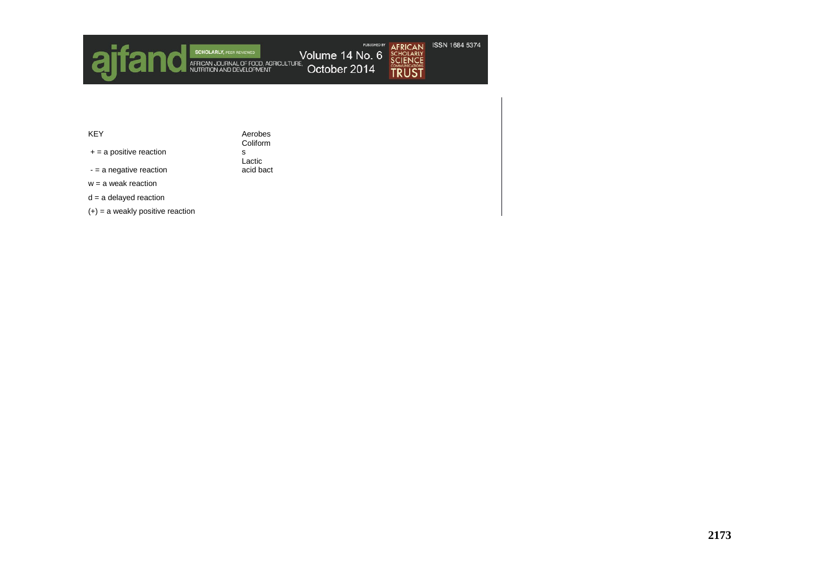

| <b>KFY</b>                | Aerobes   |
|---------------------------|-----------|
|                           | Coliform  |
| $+$ = a positive reaction | s         |
|                           | Lactic    |
| $=$ a negative reaction   | acid bact |

w = a weak reaction

d = a delayed reaction

 $(+)$  = a weakly positive reaction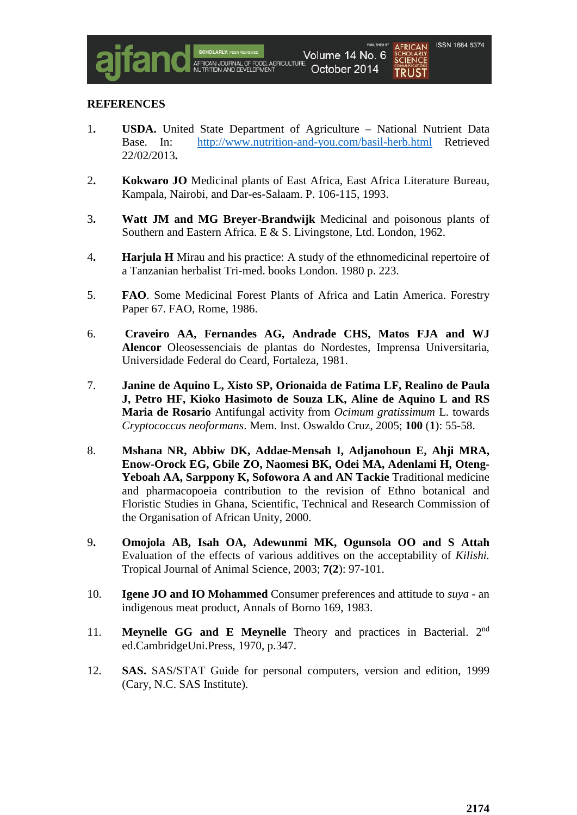

## **REFERENCES**

- 1**. USDA.** United State Department of Agriculture National Nutrient Data Base. In: <http://www.nutrition-and-you.com/basil-herb.html> Retrieved 22/02/2013**.**
- 2**. Kokwaro JO** Medicinal plants of East Africa, East Africa Literature Bureau, Kampala, Nairobi, and Dar-es-Salaam. P. 106-115, 1993.
- 3**. Watt JM and MG Breyer-Brandwijk** Medicinal and poisonous plants of Southern and Eastern Africa. E & S. Livingstone, Ltd. London, 1962.
- 4**. Harjula H** Mirau and his practice: A study of the ethnomedicinal repertoire of a Tanzanian herbalist Tri-med. books London. 1980 p. 223.
- 5. **FAO**. Some Medicinal Forest Plants of Africa and Latin America. Forestry Paper 67. FAO, Rome, 1986.
- 6. **Craveiro AA, Fernandes AG, Andrade CHS, Matos FJA and WJ Alencor** Oleosessenciais de plantas do Nordestes, Imprensa Universitaria, Universidade Federal do Ceard, Fortaleza, 1981.
- 7. **Janine de Aquino L, Xisto SP, Orionaida de Fatima LF, Realino de Paula J, Petro HF, Kioko Hasimoto de Souza LK, Aline de Aquino L and RS Maria de Rosario** Antifungal activity from *Ocimum gratissimum* L. towards *Cryptococcus neoformans*. Mem. Inst. Oswaldo Cruz, 2005; **100** (**1**): 55-58.
- 8. **Mshana NR, Abbiw DK, Addae-Mensah I, Adjanohoun E, Ahji MRA, Enow-Orock EG, Gbile ZO, Naomesi BK, Odei MA, Adenlami H, Oteng-Yeboah AA, Sarppony K, Sofowora A and AN Tackie** Traditional medicine and pharmacopoeia contribution to the revision of Ethno botanical and Floristic Studies in Ghana, Scientific, Technical and Research Commission of the Organisation of African Unity, 2000.
- 9**. Omojola AB, Isah OA, Adewunmi MK, Ogunsola OO and S Attah**  Evaluation of the effects of various additives on the acceptability of *Kilishi.* Tropical Journal of Animal Science, 2003; **7(2**): 97-101.
- 10. **Igene JO and IO Mohammed** Consumer preferences and attitude to *suya* an indigenous meat product, Annals of Borno 169, 1983.
- 11. **Meynelle GG and E Meynelle** Theory and practices in Bacterial. 2nd ed.CambridgeUni.Press, 1970, p.347.
- 12. **SAS.** SAS/STAT Guide for personal computers, version and edition, 1999 (Cary, N.C. SAS Institute).